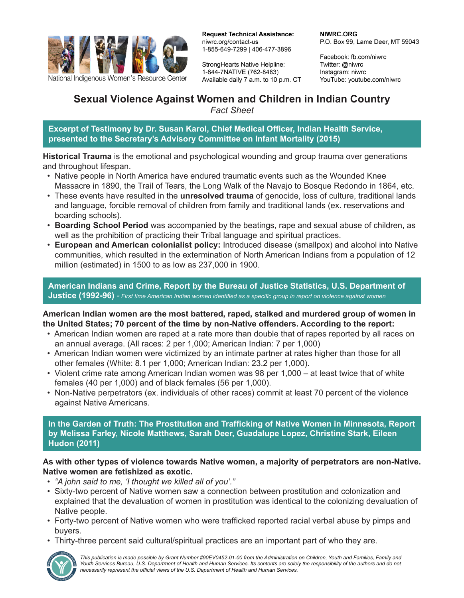

National Indigenous Women's Resource Center

**Request Technical Assistance:** niwrc.org/contact-us 1-855-649-7299 | 406-477-3896

StrongHearts Native Helpline: 1-844-7NATIVE (762-8483) Available daily 7 a.m. to 10 p.m. CT NIWRC.ORG P.O. Box 99, Lame Deer, MT 59043

Facebook: fb.com/niwrc Twitter: @niwrc Instagram: niwrc YouTube: youtube.com/niwrc

# **Sexual Violence Against Women and Children in Indian Country**

*Fact Sheet*

**Excerpt of Testimony by Dr. Susan Karol, Chief Medical Officer, Indian Health Service, presented to the Secretary's Advisory Committee on Infant Mortality (2015)**

**Historical Trauma** is the emotional and psychological wounding and group trauma over generations and throughout lifespan.

- Native people in North America have endured traumatic events such as the Wounded Knee Massacre in 1890, the Trail of Tears, the Long Walk of the Navajo to Bosque Redondo in 1864, etc.
- These events have resulted in the **unresolved trauma** of genocide, loss of culture, traditional lands and language, forcible removal of children from family and traditional lands (ex. reservations and boarding schools).
- **Boarding School Period** was accompanied by the beatings, rape and sexual abuse of children, as well as the prohibition of practicing their Tribal language and spiritual practices.
- **European and American colonialist policy:** Introduced disease (smallpox) and alcohol into Native communities, which resulted in the extermination of North American Indians from a population of 12 million (estimated) in 1500 to as low as 237,000 in 1900.

**American Indians and Crime, Report by the Bureau of Justice Statistics, U.S. Department of Justice (1992-96)** *- First time American Indian women identified as a specific group in report on violence against women*

**American Indian women are the most battered, raped, stalked and murdered group of women in the United States; 70 percent of the time by non-Native offenders. According to the report:** 

- American Indian women are raped at a rate more than double that of rapes reported by all races on an annual average. (All races: 2 per 1,000; American Indian: 7 per 1,000)
- American Indian women were victimized by an intimate partner at rates higher than those for all other females (White: 8.1 per 1,000; American Indian: 23.2 per 1,000).
- Violent crime rate among American Indian women was 98 per 1,000 at least twice that of white females (40 per 1,000) and of black females (56 per 1,000).
- Non-Native perpetrators (ex. individuals of other races) commit at least 70 percent of the violence against Native Americans.

**In the Garden of Truth: The Prostitution and Trafficking of Native Women in Minnesota, Report by Melissa Farley, Nicole Matthews, Sarah Deer, Guadalupe Lopez, Christine Stark, Eileen Hudon (2011)**

## **As with other types of violence towards Native women, a majority of perpetrators are non-Native. Native women are fetishized as exotic.**

- *"A john said to me, 'I thought we killed all of you'."*
- Sixty-two percent of Native women saw a connection between prostitution and colonization and explained that the devaluation of women in prostitution was identical to the colonizing devaluation of Native people.
- Forty-two percent of Native women who were trafficked reported racial verbal abuse by pimps and buyers.
- Thirty-three percent said cultural/spiritual practices are an important part of who they are.